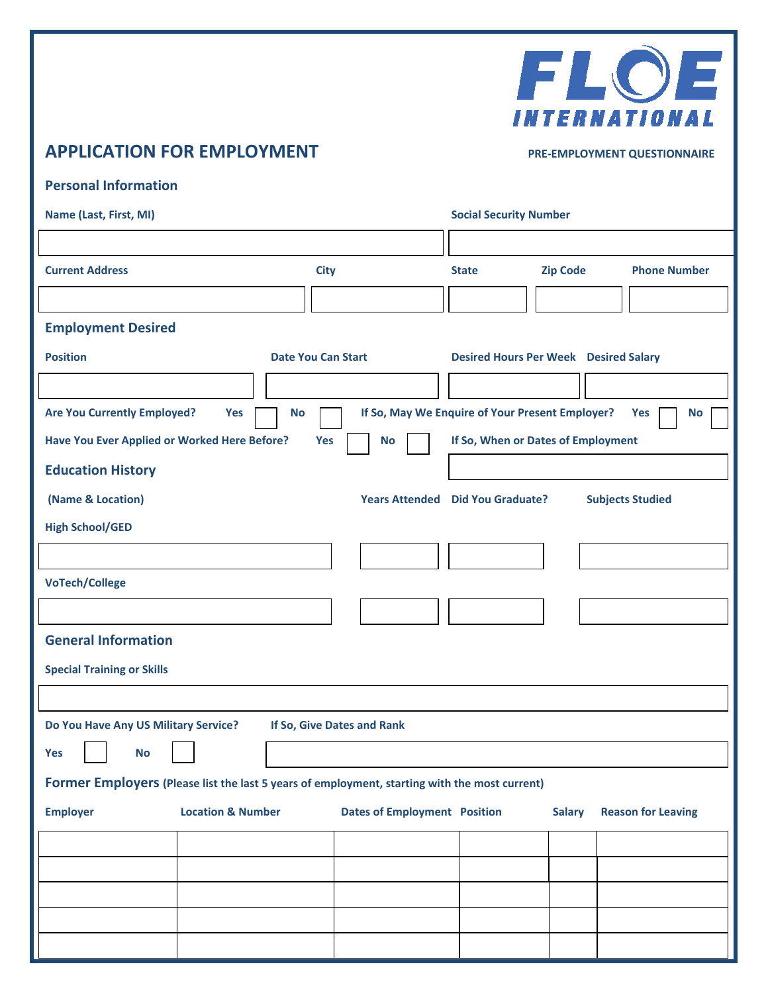

# **APPLICATION FOR EMPLOYMENT** PRE-EMPLOYMENT QUESTIONNAIRE

| <b>Personal Information</b> |
|-----------------------------|

| Name (Last, First, MI)                                                                                        |                            | <b>Social Security Number</b>                   |                                              |                 |                           |  |  |
|---------------------------------------------------------------------------------------------------------------|----------------------------|-------------------------------------------------|----------------------------------------------|-----------------|---------------------------|--|--|
|                                                                                                               |                            |                                                 |                                              |                 |                           |  |  |
| <b>Current Address</b>                                                                                        | <b>City</b>                |                                                 | <b>State</b>                                 | <b>Zip Code</b> | <b>Phone Number</b>       |  |  |
|                                                                                                               |                            |                                                 |                                              |                 |                           |  |  |
| <b>Employment Desired</b>                                                                                     |                            |                                                 |                                              |                 |                           |  |  |
| <b>Position</b>                                                                                               | <b>Date You Can Start</b>  |                                                 | <b>Desired Hours Per Week Desired Salary</b> |                 |                           |  |  |
|                                                                                                               |                            |                                                 |                                              |                 |                           |  |  |
| <b>Are You Currently Employed?</b><br>Yes                                                                     | <b>No</b>                  | If So, May We Enquire of Your Present Employer? |                                              |                 | Yes<br><b>No</b>          |  |  |
| Have You Ever Applied or Worked Here Before?<br>If So, When or Dates of Employment<br><b>Yes</b><br><b>No</b> |                            |                                                 |                                              |                 |                           |  |  |
| <b>Education History</b>                                                                                      |                            |                                                 |                                              |                 |                           |  |  |
| (Name & Location)                                                                                             |                            | <b>Years Attended Did You Graduate?</b>         |                                              |                 | <b>Subjects Studied</b>   |  |  |
| <b>High School/GED</b>                                                                                        |                            |                                                 |                                              |                 |                           |  |  |
|                                                                                                               |                            |                                                 |                                              |                 |                           |  |  |
| <b>VoTech/College</b>                                                                                         |                            |                                                 |                                              |                 |                           |  |  |
|                                                                                                               |                            |                                                 |                                              |                 |                           |  |  |
| <b>General Information</b>                                                                                    |                            |                                                 |                                              |                 |                           |  |  |
| <b>Special Training or Skills</b>                                                                             |                            |                                                 |                                              |                 |                           |  |  |
|                                                                                                               |                            |                                                 |                                              |                 |                           |  |  |
| Do You Have Any US Military Service?                                                                          | If So, Give Dates and Rank |                                                 |                                              |                 |                           |  |  |
| <b>No</b><br><b>Yes</b>                                                                                       |                            |                                                 |                                              |                 |                           |  |  |
| Former Employers (Please list the last 5 years of employment, starting with the most current)                 |                            |                                                 |                                              |                 |                           |  |  |
| <b>Employer</b><br><b>Location &amp; Number</b>                                                               |                            | <b>Dates of Employment Position</b>             |                                              | <b>Salary</b>   | <b>Reason for Leaving</b> |  |  |
|                                                                                                               |                            |                                                 |                                              |                 |                           |  |  |
|                                                                                                               |                            |                                                 |                                              |                 |                           |  |  |
|                                                                                                               |                            |                                                 |                                              |                 |                           |  |  |
|                                                                                                               |                            |                                                 |                                              |                 |                           |  |  |
|                                                                                                               |                            |                                                 |                                              |                 |                           |  |  |